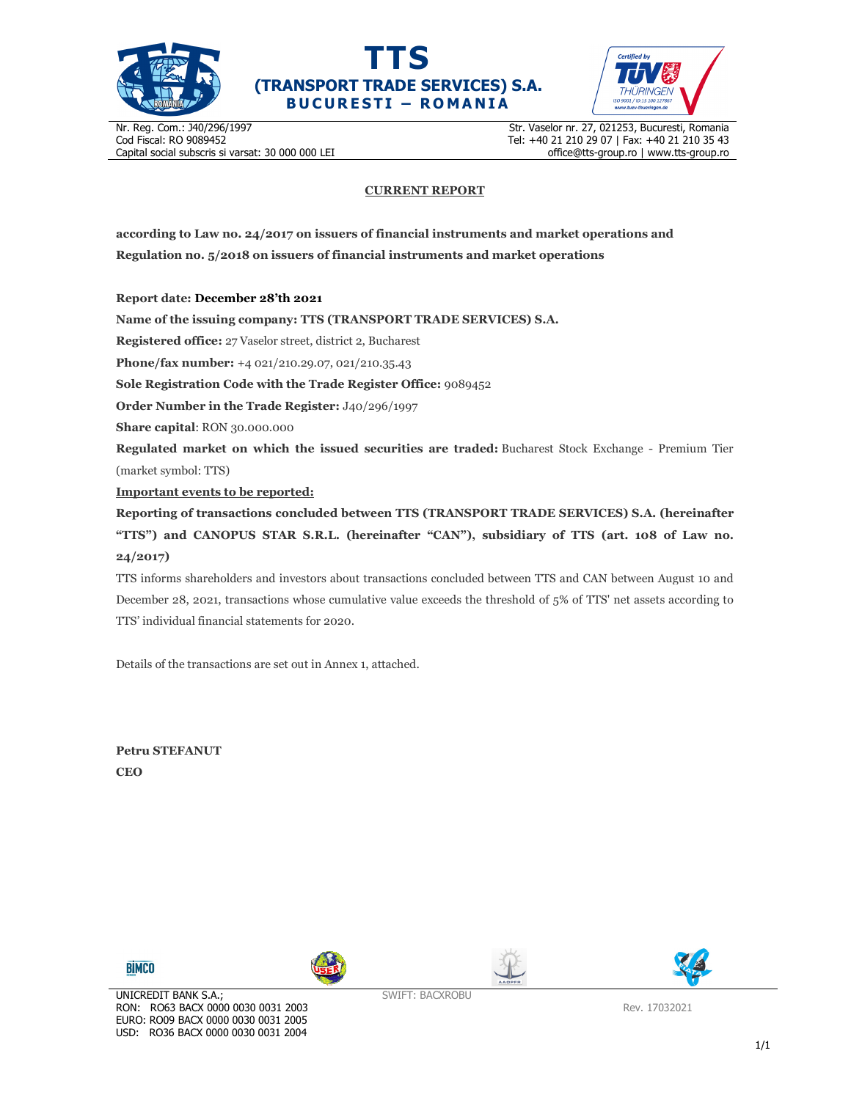





Nr. Reg. Com.: J40/296/1997 Cod Fiscal: RO 9089452 Capital social subscris si varsat: 30 000 000 LEI Str. Vaselor nr. 27, 021253, Bucuresti, Romania Tel: +40 21 210 29 07 | Fax: +40 21 210 35 43 office@tts-group.ro | www.tts-group.ro

## **CURRENT REPORT**

**according to Law no. 24/2017 on issuers of financial instruments and market operations and Regulation no. 5/2018 on issuers of financial instruments and market operations** 

**Report date: December 28'th 2021**

**Name of the issuing company: TTS (TRANSPORT TRADE SERVICES) S.A.**

**Registered office:** 27 Vaselor street, district 2, Bucharest

**Phone/fax number:** +4 021/210.29.07, 021/210.35.43

**Sole Registration Code with the Trade Register Office:** 9089452

**Order Number in the Trade Register:** J40/296/1997

**Share capital**: RON 30.000.000

**Regulated market on which the issued securities are traded:** Bucharest Stock Exchange - Premium Tier (market symbol: TTS)

**Important events to be reported:**

**Reporting of transactions concluded between TTS (TRANSPORT TRADE SERVICES) S.A. (hereinafter "TTS") and CANOPUS STAR S.R.L. (hereinafter "CAN"), subsidiary of TTS (art. 108 of Law no. 24/2017)** 

TTS informs shareholders and investors about transactions concluded between TTS and CAN between August 10 and December 28, 2021, transactions whose cumulative value exceeds the threshold of 5% of TTS' net assets according to TTS' individual financial statements for 2020.

Details of the transactions are set out in Annex 1, attached.

**Petru STEFANUT CEO** 



USD: RO36 BACX 0000 0030 0031 2004







Rev. 17032021